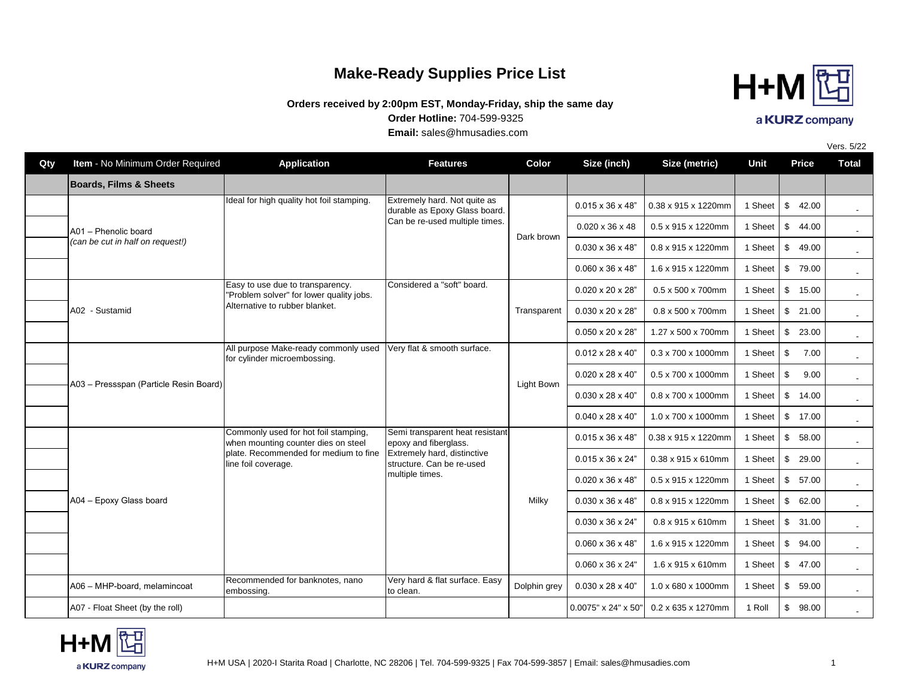## **Make-Ready Supplies Price List**

## **Order Hotline:** 704-599-9325 **Orders received by 2:00pm EST, Monday-Friday, ship the same day**

**Email:** sales@hmusadies.com

| Qty | Item - No Minimum Order Required       | <b>Application</b>                                                                                                                          | <b>Features</b>                                                                                                                         | Color        | Size (inch)                   | Size (metric)                              | Unit    | Price                  | <b>Total</b> |
|-----|----------------------------------------|---------------------------------------------------------------------------------------------------------------------------------------------|-----------------------------------------------------------------------------------------------------------------------------------------|--------------|-------------------------------|--------------------------------------------|---------|------------------------|--------------|
|     | <b>Boards, Films &amp; Sheets</b>      |                                                                                                                                             |                                                                                                                                         |              |                               |                                            |         |                        |              |
|     |                                        | Ideal for high quality hot foil stamping.                                                                                                   | Extremely hard. Not quite as<br>durable as Epoxy Glass board.                                                                           |              | $0.015 \times 36 \times 48"$  | 0.38 x 915 x 1220mm                        | 1 Sheet | \$<br>42.00            |              |
|     | A01 - Phenolic board                   |                                                                                                                                             | Can be re-used multiple times.                                                                                                          | Dark brown   | $0.020 \times 36 \times 48$   | 0.5 x 915 x 1220mm                         | 1 Sheet | \$44.00                | $\sim$       |
|     | (can be cut in half on request!)       |                                                                                                                                             |                                                                                                                                         |              | $0.030 \times 36 \times 48"$  | 0.8 x 915 x 1220mm                         | 1 Sheet | $\mathbb{S}$<br>49.00  |              |
|     |                                        |                                                                                                                                             |                                                                                                                                         |              | $0.060 \times 36 \times 48$ " | 1.6 x 915 x 1220mm                         | 1 Sheet | \$ 79.00               |              |
|     |                                        | Easy to use due to transparency.<br>'Problem solver" for lower quality jobs.                                                                | Considered a "soft" board.                                                                                                              |              | 0.020 x 20 x 28"              | $0.5 \times 500 \times 700$ mm             | 1 Sheet | $\sqrt[6]{2}$<br>15.00 |              |
|     | A02 - Sustamid                         | Alternative to rubber blanket.                                                                                                              |                                                                                                                                         | Transparent  | $0.030 \times 20 \times 28"$  | 0.8 x 500 x 700mm                          | 1 Sheet | \$21.00                |              |
|     |                                        |                                                                                                                                             |                                                                                                                                         |              | $0.050 \times 20 \times 28$ " | 1.27 x 500 x 700mm                         | 1 Sheet | \$23.00                |              |
|     |                                        | All purpose Make-ready commonly used Very flat & smooth surface.<br>for cylinder microembossing.                                            |                                                                                                                                         | Light Bown   | $0.012 \times 28 \times 40"$  | $0.3 \times 700 \times 1000$ mm            | 1 Sheet | \$<br>7.00             |              |
|     |                                        |                                                                                                                                             |                                                                                                                                         |              | $0.020 \times 28 \times 40"$  | 0.5 x 700 x 1000mm                         | 1 Sheet | \$<br>9.00             | $\sim$       |
|     | A03 - Pressspan (Particle Resin Board) |                                                                                                                                             |                                                                                                                                         |              | $0.030 \times 28 \times 40"$  | 0.8 x 700 x 1000mm                         | 1 Sheet | \$14.00                |              |
|     |                                        |                                                                                                                                             |                                                                                                                                         |              | $0.040 \times 28 \times 40"$  | 1.0 x 700 x 1000mm                         | 1 Sheet | \$17.00                |              |
|     |                                        | Commonly used for hot foil stamping,<br>when mounting counter dies on steel<br>plate. Recommended for medium to fine<br>line foil coverage. | Semi transparent heat resistant<br>epoxy and fiberglass.<br>Extremely hard, distinctive<br>structure. Can be re-used<br>multiple times. | Milky        | $0.015 \times 36 \times 48$ " | 0.38 x 915 x 1220mm                        | 1 Sheet | \$58.00                |              |
|     |                                        |                                                                                                                                             |                                                                                                                                         |              | 0.015 x 36 x 24"              | 0.38 x 915 x 610mm                         | 1 Sheet | \$29.00                |              |
|     |                                        |                                                                                                                                             |                                                                                                                                         |              | $0.020 \times 36 \times 48$ " | 0.5 x 915 x 1220mm                         | 1 Sheet | \$57.00                |              |
|     | A04 - Epoxy Glass board                |                                                                                                                                             |                                                                                                                                         |              | $0.030 \times 36 \times 48"$  | 0.8 x 915 x 1220mm                         | 1 Sheet | \$62.00                |              |
|     |                                        |                                                                                                                                             |                                                                                                                                         |              | $0.030 \times 36 \times 24"$  | $0.8 \times 915 \times 610$ mm             | 1 Sheet | \$31.00                |              |
|     |                                        |                                                                                                                                             |                                                                                                                                         |              | $0.060 \times 36 \times 48$ " | 1.6 x 915 x 1220mm                         | 1 Sheet | \$94.00                |              |
|     |                                        |                                                                                                                                             |                                                                                                                                         |              | 0.060 x 36 x 24"              | 1.6 x 915 x 610mm                          | 1 Sheet | \$47.00                |              |
|     | A06 - MHP-board, melamincoat           | Recommended for banknotes, nano<br>embossing.                                                                                               | Very hard & flat surface. Easy<br>to clean.                                                                                             | Dolphin grey | $0.030 \times 28 \times 40"$  | 1.0 x 680 x 1000mm                         | 1 Sheet | \$59.00                |              |
|     | A07 - Float Sheet (by the roll)        |                                                                                                                                             |                                                                                                                                         |              |                               | $0.0075"$ x 24" x 50" $0.2$ x 635 x 1270mm | 1 Roll  | \$98.00                |              |







-

Vers. 5/22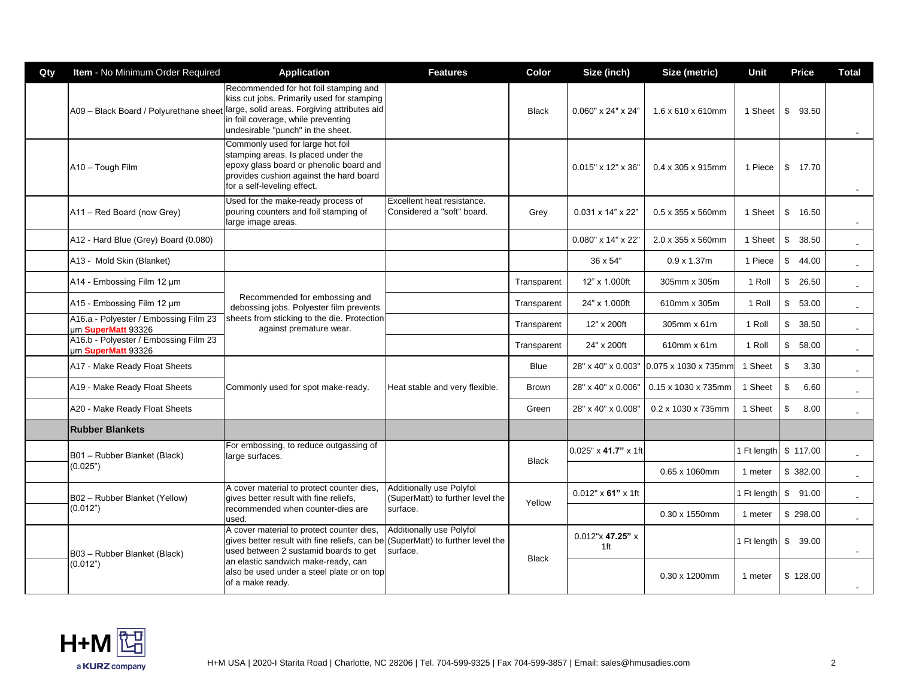| Qty | Item - No Minimum Order Required                            | <b>Application</b>                                                                                                                                                                                             | <b>Features</b>                                              | Color        | Size (inch)                       | Size (metric)                  | Unit        | <b>Price</b>           | Total                    |
|-----|-------------------------------------------------------------|----------------------------------------------------------------------------------------------------------------------------------------------------------------------------------------------------------------|--------------------------------------------------------------|--------------|-----------------------------------|--------------------------------|-------------|------------------------|--------------------------|
|     | A09 - Black Board / Polyurethane sheet                      | Recommended for hot foil stamping and<br>kiss cut jobs. Primarily used for stamping<br>large, solid areas. Forgiving attributes aid<br>in foil coverage, while preventing<br>undesirable "punch" in the sheet. |                                                              | <b>Black</b> | $0.060" \times 24" \times 24"$    | $1.6 \times 610 \times 610$ mm | 1 Sheet     | \$<br>93.50            |                          |
|     | A10 - Tough Film                                            | Commonly used for large hot foil<br>stamping areas. Is placed under the<br>epoxy glass board or phenolic board and<br>provides cushion against the hard board<br>for a self-leveling effect.                   |                                                              |              | 0.015" x 12" x 36"                | $0.4 \times 305 \times 915$ mm | 1 Piece     | \$<br>17.70            |                          |
|     | A11 - Red Board (now Grey)                                  | Used for the make-ready process of<br>pouring counters and foil stamping of<br>large image areas.                                                                                                              | Excellent heat resistance.<br>IConsidered a "soft" board.    | Grey         | $0.031 \times 14" \times 22"$     | $0.5 \times 355 \times 560$ mm | 1 Sheet     | \$<br>16.50            | $\sim$                   |
|     | A12 - Hard Blue (Grey) Board (0.080)                        |                                                                                                                                                                                                                |                                                              |              | 0.080" x 14" x 22"                | 2.0 x 355 x 560mm              | 1 Sheet     | $\frac{1}{2}$<br>38.50 | $\sim$                   |
|     | A13 - Mold Skin (Blanket)                                   |                                                                                                                                                                                                                |                                                              |              | 36 x 54"                          | $0.9 \times 1.37$ m            | 1 Piece     | \$<br>44.00            | $\overline{\phantom{a}}$ |
|     | A14 - Embossing Film 12 µm                                  | Recommended for embossing and<br>debossing jobs. Polyester film prevents<br>sheets from sticking to the die. Protection<br>against premature wear.                                                             |                                                              | Transparent  | 12" x 1.000ft                     | 305mm x 305m                   | 1 Roll      | \$<br>26.50            | $\overline{\phantom{a}}$ |
|     | A15 - Embossing Film 12 µm                                  |                                                                                                                                                                                                                |                                                              | Transparent  | 24" x 1.000ft                     | 610mm x 305m                   | 1 Roll      | $\frac{1}{2}$<br>53.00 | $\overline{\phantom{a}}$ |
|     | A16.a - Polyester / Embossing Film 23<br>um SuperMatt 93326 |                                                                                                                                                                                                                |                                                              | Transparent  | 12" x 200ft                       | 305mm x 61m                    | 1 Roll      | $\mathbb{S}$<br>38.50  | $\sim$                   |
|     | A16.b - Polyester / Embossing Film 23<br>um SuperMatt 93326 |                                                                                                                                                                                                                |                                                              | Transparent  | 24" x 200ft                       | 610mm x 61m                    | 1 Roll      | \$<br>58.00            | $\mathbf{r}$             |
|     | A17 - Make Ready Float Sheets                               |                                                                                                                                                                                                                | Heat stable and very flexible.                               | Blue         | 28" x 40" x 0.003"                | 0.075 x 1030 x 735mm           | 1 Sheet     | \$<br>3.30             | $\blacksquare$           |
|     | A19 - Make Ready Float Sheets                               | Commonly used for spot make-ready.                                                                                                                                                                             |                                                              | <b>Brown</b> | 28" x 40" x 0.006"                | 0.15 x 1030 x 735mm            | 1 Sheet     | $\mathfrak s$<br>6.60  | $\mathbf{r}$             |
|     | A20 - Make Ready Float Sheets                               |                                                                                                                                                                                                                |                                                              | Green        | 28" x 40" x 0.008"                | 0.2 x 1030 x 735mm             | 1 Sheet     | $\mathfrak s$<br>8.00  |                          |
|     | <b>Rubber Blankets</b>                                      |                                                                                                                                                                                                                |                                                              |              |                                   |                                |             |                        |                          |
|     | B01 - Rubber Blanket (Black)                                | For embossing, to reduce outgassing of<br>large surfaces.                                                                                                                                                      |                                                              | <b>Black</b> | $0.025" \times 41.7" \times 1$ ft |                                | 1 Ft length | \$117.00               |                          |
|     | (0.025")                                                    |                                                                                                                                                                                                                |                                                              |              |                                   | 0.65 x 1060mm                  | 1 meter     | \$ 382.00              |                          |
|     | B02 - Rubber Blanket (Yellow)                               | A cover material to protect counter dies,<br>gives better result with fine reliefs,                                                                                                                            | Additionally use Polyfol<br>(SuperMatt) to further level the |              | $0.012" \times 61" \times 1$ ft   |                                | 1 Ft length | \$91.00                | $\sim$                   |
|     | (0.012")                                                    | recommended when counter-dies are<br>used.                                                                                                                                                                     | surface.                                                     | Yellow       |                                   | 0.30 x 1550mm                  | 1 meter     | \$298.00               |                          |
|     | B03 - Rubber Blanket (Black)                                | A cover material to protect counter dies,<br>gives better result with fine reliefs, can be (SuperMatt) to further level the<br>used between 2 sustamid boards to get                                           | Additionally use Polyfol<br>surface.                         |              | 0.012"x 47.25" x<br>1ft           |                                |             | 1 Ft length \$ 39.00   | $\sim$                   |
|     | (0.012")                                                    | an elastic sandwich make-ready, can<br>also be used under a steel plate or on top<br>of a make ready.                                                                                                          |                                                              | <b>Black</b> |                                   | $0.30 \times 1200$ mm          | 1 meter     | \$128.00               | $\sim$                   |

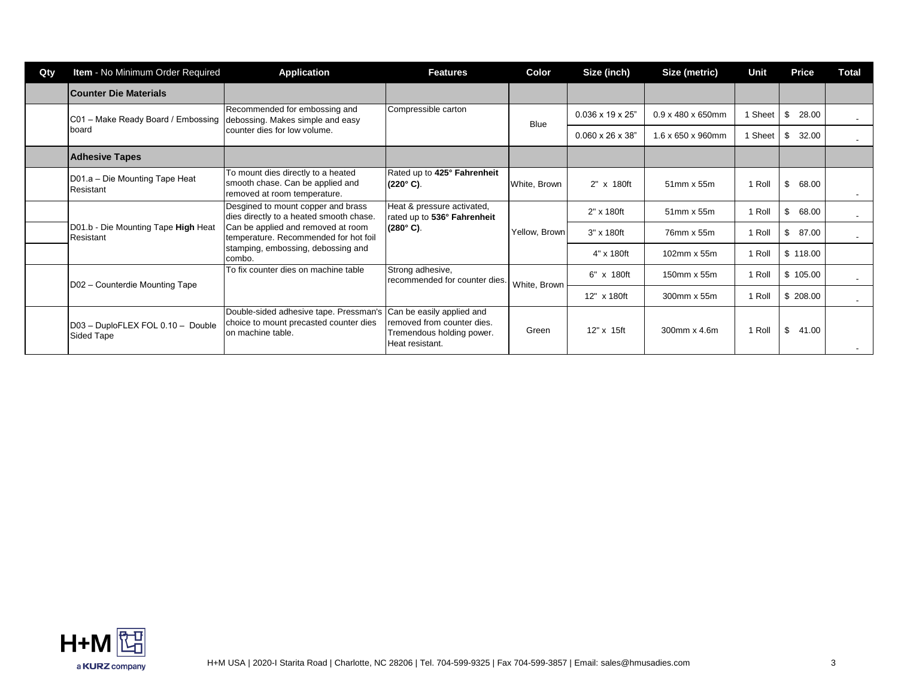| Qty | Item - No Minimum Order Required                                                                                                                | <b>Application</b>                                                                                                                                           | <b>Features</b>                                                                                         | Color                         | Size (inch)                    | Size (metric) | <b>Unit</b>  | Price       | <b>Total</b> |
|-----|-------------------------------------------------------------------------------------------------------------------------------------------------|--------------------------------------------------------------------------------------------------------------------------------------------------------------|---------------------------------------------------------------------------------------------------------|-------------------------------|--------------------------------|---------------|--------------|-------------|--------------|
|     | Counter Die Materials                                                                                                                           |                                                                                                                                                              |                                                                                                         |                               |                                |               |              |             |              |
|     | Recommended for embossing and<br>C01 - Make Ready Board / Embossing   debossing. Makes simple and easy<br>counter dies for low volume.<br>board | Compressible carton                                                                                                                                          | <b>Blue</b>                                                                                             | $0.036 \times 19 \times 25$ " | $0.9 \times 480 \times 650$ mm | 1 Sheet       | \$<br>28.00  |             |              |
|     |                                                                                                                                                 |                                                                                                                                                              |                                                                                                         | $0.060 \times 26 \times 38$   | 1.6 x 650 x 960mm              | 1 Sheet       | 32.00<br>-\$ |             |              |
|     | <b>Adhesive Tapes</b>                                                                                                                           |                                                                                                                                                              |                                                                                                         |                               |                                |               |              |             |              |
|     | D01.a - Die Mounting Tape Heat<br>Resistant                                                                                                     | To mount dies directly to a heated<br>smooth chase. Can be applied and<br>removed at room temperature.                                                       | Rated up to 425° Fahrenheit<br>$(220^{\circ} C)$ .                                                      | White, Brown                  | 2" x 180ft                     | 51mm x 55m    | 1 Roll       | \$<br>68.00 |              |
|     | D01.b - Die Mounting Tape High Heat<br>Resistant                                                                                                | Desgined to mount copper and brass<br>dies directly to a heated smooth chase.<br>Can be applied and removed at room<br>temperature. Recommended for hot foil | Heat & pressure activated,<br>rated up to 536° Fahrenheit<br>$(280^{\circ} \text{ C})$ .                | Yellow, Brown                 | $2" \times 180$ ft             | 51mm x 55m    | 1 Roll       | 68.00<br>\$ | $\sim$       |
|     |                                                                                                                                                 |                                                                                                                                                              |                                                                                                         |                               | 3" x 180ft                     | 76mm x 55m    | 1 Roll       | \$<br>87.00 |              |
|     |                                                                                                                                                 | stamping, embossing, debossing and<br>combo.                                                                                                                 |                                                                                                         |                               | 4" x 180ft                     | 102mm x 55m   | 1 Roll       | \$118.00    |              |
|     | D02 - Counterdie Mounting Tape                                                                                                                  | To fix counter dies on machine table                                                                                                                         | Strong adhesive,<br>recommended for counter dies.                                                       | White, Brown                  | 6" x 180ft                     | 150mm x 55m   | 1 Roll       | \$105.00    | $\sim$       |
|     |                                                                                                                                                 |                                                                                                                                                              |                                                                                                         |                               | 12" x 180ft                    | 300mm x 55m   | 1 Roll       | \$208.00    |              |
|     | D03 - DuploFLEX FOL 0.10 - Double<br>Sided Tape                                                                                                 | Double-sided adhesive tape. Pressman's<br>choice to mount precasted counter dies<br>on machine table.                                                        | Can be easily applied and<br>removed from counter dies.<br>Tremendous holding power.<br>Heat resistant. | Green                         | 12" x 15ft                     | 300mm x 4.6m  | 1 Roll       | \$<br>41.00 |              |

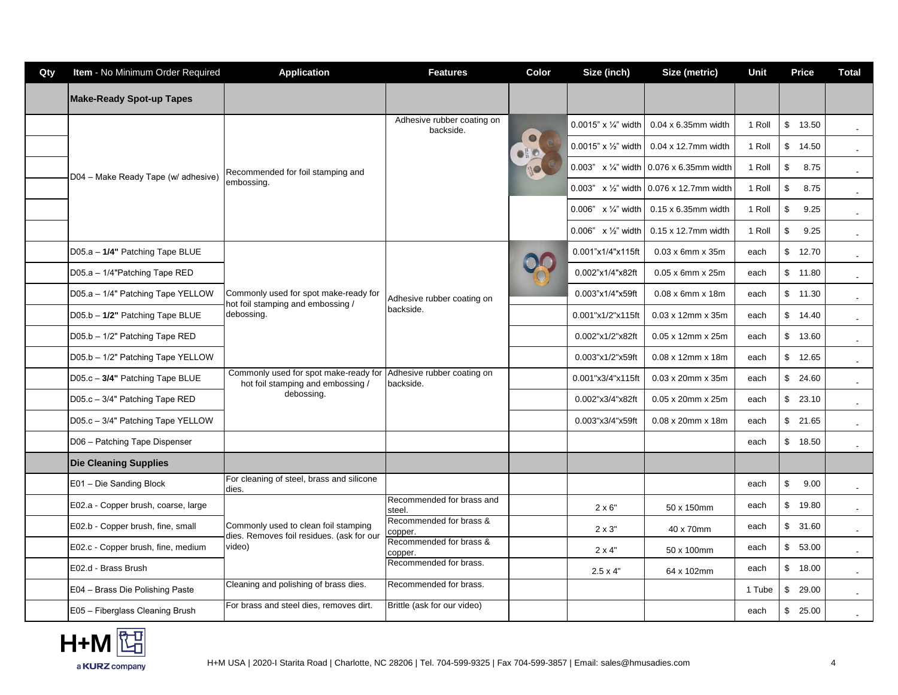| Qty | Item - No Minimum Order Required    | <b>Application</b>                                                                | <b>Features</b>                         | Color | Size (inch)                       | Size (metric)                                   | Unit   | <b>Price</b>                     | <b>Total</b>             |
|-----|-------------------------------------|-----------------------------------------------------------------------------------|-----------------------------------------|-------|-----------------------------------|-------------------------------------------------|--------|----------------------------------|--------------------------|
|     | <b>Make-Ready Spot-up Tapes</b>     |                                                                                   |                                         |       |                                   |                                                 |        |                                  |                          |
|     |                                     |                                                                                   | Adhesive rubber coating on<br>backside. |       | 0.0015" x $\frac{1}{4}$ " width   | $0.04 \times 6.35$ mm width                     | 1 Roll | \$13.50                          | $\sim$                   |
|     |                                     |                                                                                   |                                         |       | $0.0015"$ x $\frac{1}{2}$ " width | 0.04 x 12.7mm width                             | 1 Roll | \$<br>14.50                      | $\overline{\phantom{a}}$ |
|     | D04 - Make Ready Tape (w/ adhesive) | Recommended for foil stamping and                                                 |                                         |       |                                   | 0.003" $\times$ 1/4" width 0.076 x 6.35mm width | 1 Roll | $\sqrt[6]{2}$<br>8.75            | $\sim$                   |
|     |                                     | embossing.                                                                        |                                         |       | 0.003" x 1/2" width               | 0.076 x 12.7mm width                            | 1 Roll | \$<br>8.75                       | $\sim$                   |
|     |                                     |                                                                                   |                                         |       | 0.006" $\times$ 1/4" width        | $0.15 \times 6.35$ mm width                     | 1 Roll | $\mathfrak s$<br>9.25            | $\blacksquare$           |
|     |                                     |                                                                                   |                                         |       | $0.006"$ x 1/2" width             | $0.15 \times 12.7$ mm width                     | 1 Roll | \$<br>9.25                       | $\sim$                   |
|     | D05.a - 1/4" Patching Tape BLUE     |                                                                                   |                                         |       | 0.001"x1/4"x115ft                 | $0.03 \times 6$ mm $\times 35$ m                | each   | $\mathbb{S}$<br>12.70            | $\sim$                   |
|     | D05.a - 1/4"Patching Tape RED       |                                                                                   | Adhesive rubber coating on<br>backside. |       | 0.002"x1/4"x82ft                  | 0.05 x 6mm x 25m                                | each   | \$<br>11.80                      | $\sim$                   |
|     | D05.a - 1/4" Patching Tape YELLOW   | Commonly used for spot make-ready for<br>hot foil stamping and embossing /        |                                         |       | 0.003"x1/4"x59ft                  | $0.08 \times 6$ mm $\times$ 18m                 | each   | \$<br>11.30                      | $\sim$                   |
|     | D05.b - 1/2" Patching Tape BLUE     | debossing.                                                                        |                                         |       | 0.001"x1/2"x115ft                 | $0.03 \times 12$ mm $\times 35$ m               | each   | $\mathbb{S}$<br>14.40            |                          |
|     | D05.b - 1/2" Patching Tape RED      |                                                                                   |                                         |       | 0.002"x1/2"x82ft                  | $0.05 \times 12$ mm $\times 25$ m               | each   | $\sqrt[6]{\frac{1}{2}}$<br>13.60 | $\sim$                   |
|     | D05.b - 1/2" Patching Tape YELLOW   |                                                                                   |                                         |       | 0.003"x1/2"x59ft                  | $0.08 \times 12$ mm x 18m                       | each   | $\sqrt[6]{\frac{1}{2}}$<br>12.65 | $\sim$                   |
|     | D05.c - 3/4" Patching Tape BLUE     | Commonly used for spot make-ready for<br>hot foil stamping and embossing /        | Adhesive rubber coating on<br>backside. |       | 0.001"x3/4"x115ft                 | $0.03 \times 20$ mm $\times 35$ m               | each   | \$<br>24.60                      | $\sim$                   |
|     | D05.c - 3/4" Patching Tape RED      | debossing.                                                                        |                                         |       | 0.002"x3/4"x82ft                  | 0.05 x 20mm x 25m                               | each   | \$<br>23.10                      | $\sim$                   |
|     | D05.c - 3/4" Patching Tape YELLOW   |                                                                                   |                                         |       | 0.003"x3/4"x59ft                  | 0.08 x 20mm x 18m                               | each   | \$<br>21.65                      | $\sim$                   |
|     | D06 - Patching Tape Dispenser       |                                                                                   |                                         |       |                                   |                                                 | each   | \$<br>18.50                      |                          |
|     | <b>Die Cleaning Supplies</b>        |                                                                                   |                                         |       |                                   |                                                 |        |                                  |                          |
|     | E01 - Die Sanding Block             | For cleaning of steel, brass and silicone<br>dies.                                |                                         |       |                                   |                                                 | each   | \$<br>9.00                       | $\sim$                   |
|     | E02.a - Copper brush, coarse, large |                                                                                   | Recommended for brass and<br>steel.     |       | $2 \times 6"$                     | 50 x 150mm                                      | each   | \$<br>19.80                      | $\sim$                   |
|     | E02.b - Copper brush, fine, small   | Commonly used to clean foil stamping<br>dies. Removes foil residues. (ask for our | Recommended for brass &<br>copper.      |       | $2 \times 3"$                     | 40 x 70mm                                       | each   | \$<br>31.60                      | $\sim$                   |
|     | E02.c - Copper brush, fine, medium  | video)                                                                            | Recommended for brass &<br>copper.      |       | $2 \times 4"$                     | 50 x 100mm                                      | each   | \$<br>53.00                      |                          |
|     | E02.d - Brass Brush                 |                                                                                   | Recommended for brass.                  |       | $2.5 \times 4"$                   | 64 x 102mm                                      | each   | $\sqrt[6]{\frac{1}{2}}$<br>18.00 | $\blacksquare$           |
|     | E04 - Brass Die Polishing Paste     | Cleaning and polishing of brass dies.                                             | Recommended for brass.                  |       |                                   |                                                 | 1 Tube | \$<br>29.00                      | $\sim$                   |
|     | E05 - Fiberglass Cleaning Brush     | For brass and steel dies, removes dirt.                                           | Brittle (ask for our video)             |       |                                   |                                                 | each   | \$<br>25.00                      |                          |

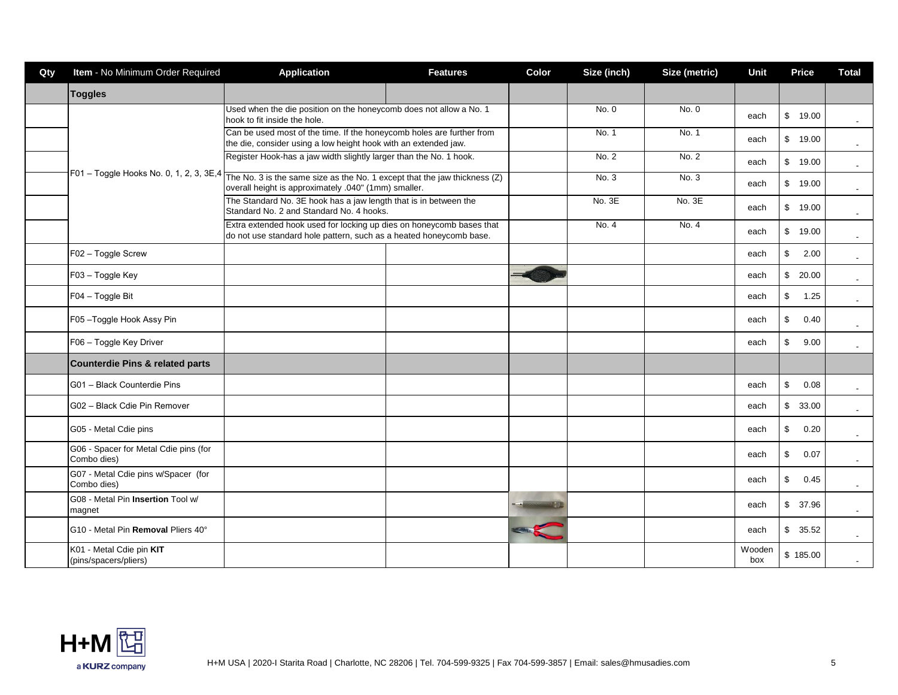| Qty | Item - No Minimum Order Required                     | <b>Application</b>                                                                                                                                                              | <b>Features</b> | Color | Size (inch) | Size (metric) | Unit          | <b>Price</b>            | <b>Total</b>             |
|-----|------------------------------------------------------|---------------------------------------------------------------------------------------------------------------------------------------------------------------------------------|-----------------|-------|-------------|---------------|---------------|-------------------------|--------------------------|
|     | <b>Toggles</b>                                       |                                                                                                                                                                                 |                 |       |             |               |               |                         |                          |
|     |                                                      | Used when the die position on the honeycomb does not allow a No. 1<br>hook to fit inside the hole.                                                                              |                 |       | No. 0       | No. 0         | each          | $\mathfrak{S}$<br>19.00 | $\sim$                   |
|     |                                                      | Can be used most of the time. If the honeycomb holes are further from<br>the die, consider using a low height hook with an extended jaw.                                        |                 |       | No. 1       | No. 1         | each          | \$<br>19.00             | $\sim$                   |
|     |                                                      | Register Hook-has a jaw width slightly larger than the No. 1 hook.                                                                                                              |                 |       | No. 2       | No. 2         | each          | $\frac{1}{2}$<br>19.00  | $\sim$                   |
|     |                                                      | $F01 - T0$ ggle Hooks No. 0, 1, 2, 3, 3E,4 $Tthe No. 3$ is the same size as the No. 1 except that the jaw thickness (Z)<br>overall height is approximately .040" (1mm) smaller. |                 |       | No. 3       | No. 3         | each          | $\mathbb{S}$<br>19.00   |                          |
|     |                                                      | The Standard No. 3E hook has a jaw length that is in between the<br>Standard No. 2 and Standard No. 4 hooks.                                                                    |                 |       | No. 3E      | No. 3E        | each          | $\frac{1}{2}$<br>19.00  | $\sim$                   |
|     |                                                      | Extra extended hook used for locking up dies on honeycomb bases that<br>do not use standard hole pattern, such as a heated honeycomb base.                                      |                 |       | No. 4       | No. 4         | each          | \$<br>19.00             | $\sim$                   |
|     | F02 - Toggle Screw                                   |                                                                                                                                                                                 |                 |       |             |               | each          | \$<br>2.00              | $\sim$                   |
|     | F03 - Toggle Key                                     |                                                                                                                                                                                 |                 |       |             |               | each          | $\mathfrak{S}$<br>20.00 | $\sim$                   |
|     | F04 - Toggle Bit                                     |                                                                                                                                                                                 |                 |       |             |               | each          | \$<br>1.25              | $\sim$                   |
|     | F05-Toggle Hook Assy Pin                             |                                                                                                                                                                                 |                 |       |             |               | each          | \$<br>0.40              |                          |
|     | F06 - Toggle Key Driver                              |                                                                                                                                                                                 |                 |       |             |               | each          | \$<br>9.00              | $\sim$                   |
|     | <b>Counterdie Pins &amp; related parts</b>           |                                                                                                                                                                                 |                 |       |             |               |               |                         |                          |
|     | G01 - Black Counterdie Pins                          |                                                                                                                                                                                 |                 |       |             |               | each          | \$<br>0.08              | $\overline{\phantom{a}}$ |
|     | G02 - Black Cdie Pin Remover                         |                                                                                                                                                                                 |                 |       |             |               | each          | $\mathbb{S}$<br>33.00   | $\sim$                   |
|     | G05 - Metal Cdie pins                                |                                                                                                                                                                                 |                 |       |             |               | each          | 0.20<br>\$              | $\sim$                   |
|     | G06 - Spacer for Metal Cdie pins (for<br>Combo dies) |                                                                                                                                                                                 |                 |       |             |               | each          | \$<br>0.07              |                          |
|     | G07 - Metal Cdie pins w/Spacer (for<br>Combo dies)   |                                                                                                                                                                                 |                 |       |             |               | each          | \$<br>0.45              | $\sim$                   |
|     | G08 - Metal Pin Insertion Tool w/<br>magnet          |                                                                                                                                                                                 |                 |       |             |               | each          | $\mathfrak{S}$<br>37.96 |                          |
|     | G10 - Metal Pin Removal Pliers 40°                   |                                                                                                                                                                                 |                 |       |             |               | each          | \$35.52                 | $\sim$                   |
|     | K01 - Metal Cdie pin KIT<br>(pins/spacers/pliers)    |                                                                                                                                                                                 |                 |       |             |               | Wooden<br>box | \$185.00                |                          |